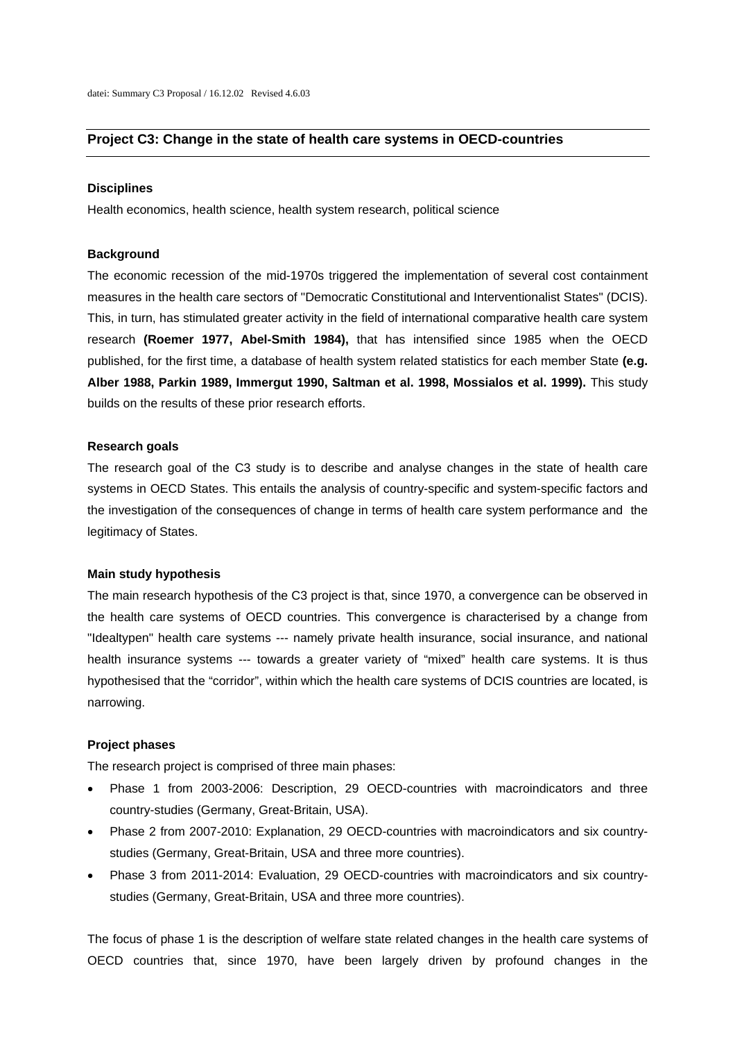## **Project C3: Change in the state of health care systems in OECD-countries**

## **Disciplines**

Health economics, health science, health system research, political science

## **Background**

The economic recession of the mid-1970s triggered the implementation of several cost containment measures in the health care sectors of "Democratic Constitutional and Interventionalist States" (DCIS). This, in turn, has stimulated greater activity in the field of international comparative health care system research **(Roemer 1977, Abel-Smith 1984),** that has intensified since 1985 when the OECD published, for the first time, a database of health system related statistics for each member State **(e.g. Alber 1988, Parkin 1989, Immergut 1990, Saltman et al. 1998, Mossialos et al. 1999).** This study builds on the results of these prior research efforts.

#### **Research goals**

The research goal of the C3 study is to describe and analyse changes in the state of health care systems in OECD States. This entails the analysis of country-specific and system-specific factors and the investigation of the consequences of change in terms of health care system performance and the legitimacy of States.

## **Main study hypothesis**

The main research hypothesis of the C3 project is that, since 1970, a convergence can be observed in the health care systems of OECD countries. This convergence is characterised by a change from "Idealtypen" health care systems --- namely private health insurance, social insurance, and national health insurance systems --- towards a greater variety of "mixed" health care systems. It is thus hypothesised that the "corridor", within which the health care systems of DCIS countries are located, is narrowing.

#### **Project phases**

The research project is comprised of three main phases:

- Phase 1 from 2003-2006: Description, 29 OECD-countries with macroindicators and three country-studies (Germany, Great-Britain, USA).
- Phase 2 from 2007-2010: Explanation, 29 OECD-countries with macroindicators and six countrystudies (Germany, Great-Britain, USA and three more countries).
- Phase 3 from 2011-2014: Evaluation, 29 OECD-countries with macroindicators and six countrystudies (Germany, Great-Britain, USA and three more countries).

The focus of phase 1 is the description of welfare state related changes in the health care systems of OECD countries that, since 1970, have been largely driven by profound changes in the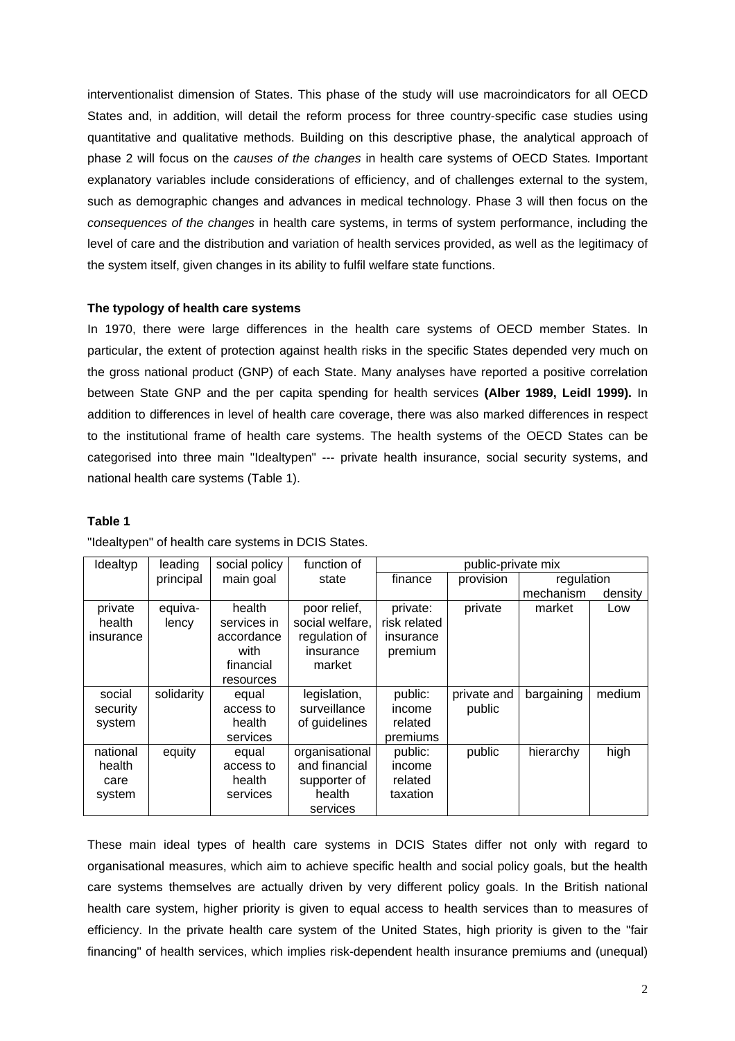interventionalist dimension of States. This phase of the study will use macroindicators for all OECD States and, in addition, will detail the reform process for three country-specific case studies using quantitative and qualitative methods. Building on this descriptive phase, the analytical approach of phase 2 will focus on the *causes of the changes* in health care systems of OECD States*.* Important explanatory variables include considerations of efficiency, and of challenges external to the system, such as demographic changes and advances in medical technology. Phase 3 will then focus on the *consequences of the changes* in health care systems, in terms of system performance, including the level of care and the distribution and variation of health services provided, as well as the legitimacy of the system itself, given changes in its ability to fulfil welfare state functions.

# **The typology of health care systems**

In 1970, there were large differences in the health care systems of OECD member States. In particular, the extent of protection against health risks in the specific States depended very much on the gross national product (GNP) of each State. Many analyses have reported a positive correlation between State GNP and the per capita spending for health services **(Alber 1989, Leidl 1999).** In addition to differences in level of health care coverage, there was also marked differences in respect to the institutional frame of health care systems. The health systems of the OECD States can be categorised into three main "Idealtypen" --- private health insurance, social security systems, and national health care systems (Table 1).

# **Table 1**

| Idealtyp  | leading    | social policy | function of     | public-private mix |                         |            |         |
|-----------|------------|---------------|-----------------|--------------------|-------------------------|------------|---------|
|           | principal  | main goal     | state           | finance            | provision<br>regulation |            |         |
|           |            |               |                 |                    |                         | mechanism  | density |
| private   | equiva-    | health        | poor relief,    | private:           | private                 | market     | Low     |
| health    | lency      | services in   | social welfare, | risk related       |                         |            |         |
| insurance |            | accordance    | regulation of   | insurance          |                         |            |         |
|           |            | with          | insurance       | premium            |                         |            |         |
|           |            | financial     | market          |                    |                         |            |         |
|           |            | resources     |                 |                    |                         |            |         |
| social    | solidarity | equal         | legislation,    | public:            | private and             | bargaining | medium  |
| security  |            | access to     | surveillance    | income             | public                  |            |         |
| system    |            | health        | of guidelines   | related            |                         |            |         |
|           |            | services      |                 | premiums           |                         |            |         |
| national  | equity     | equal         | organisational  | public:            | public                  | hierarchy  | high    |
| health    |            | access to     | and financial   | income             |                         |            |         |
| care      |            | health        | supporter of    | related            |                         |            |         |
| system    |            | services      | health          | taxation           |                         |            |         |
|           |            |               | services        |                    |                         |            |         |

"Idealtypen" of health care systems in DCIS States.

These main ideal types of health care systems in DCIS States differ not only with regard to organisational measures, which aim to achieve specific health and social policy goals, but the health care systems themselves are actually driven by very different policy goals. In the British national health care system, higher priority is given to equal access to health services than to measures of efficiency. In the private health care system of the United States, high priority is given to the "fair financing" of health services, which implies risk-dependent health insurance premiums and (unequal)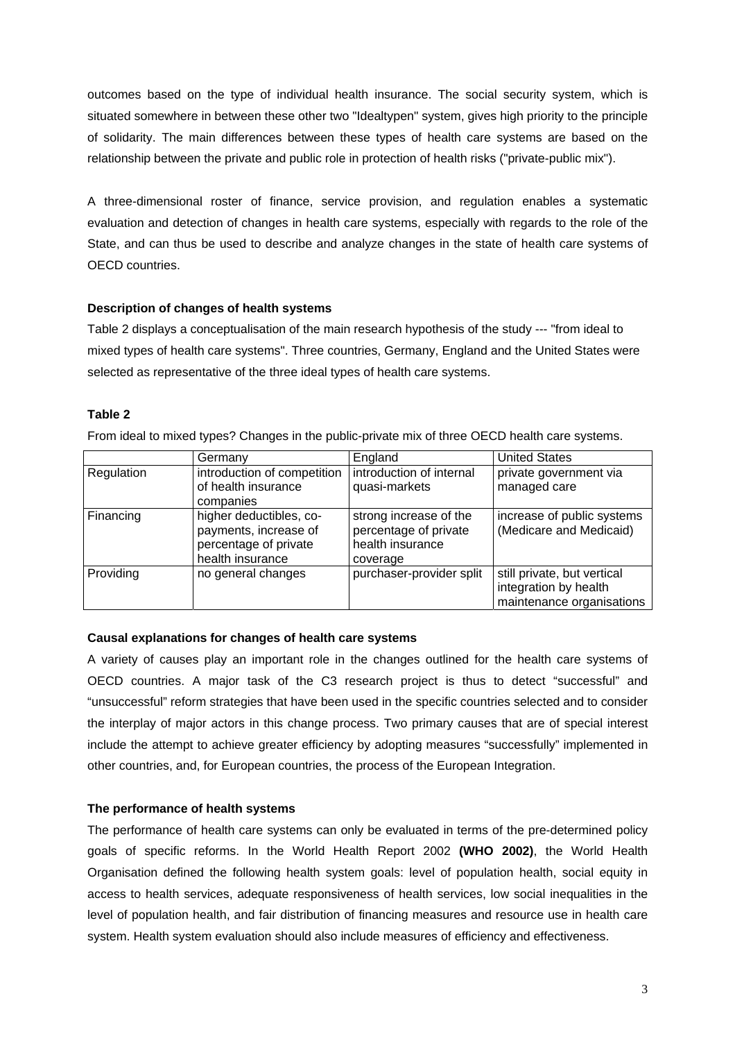outcomes based on the type of individual health insurance. The social security system, which is situated somewhere in between these other two "Idealtypen" system, gives high priority to the principle of solidarity. The main differences between these types of health care systems are based on the relationship between the private and public role in protection of health risks ("private-public mix").

A three-dimensional roster of finance, service provision, and regulation enables a systematic evaluation and detection of changes in health care systems, especially with regards to the role of the State, and can thus be used to describe and analyze changes in the state of health care systems of OECD countries.

# **Description of changes of health systems**

Table 2 displays a conceptualisation of the main research hypothesis of the study --- "from ideal to mixed types of health care systems". Three countries, Germany, England and the United States were selected as representative of the three ideal types of health care systems.

# **Table 2**

From ideal to mixed types? Changes in the public-private mix of three OECD health care systems.

|            | Germany                                                                                       | England                                                                         | <b>United States</b>                                                              |
|------------|-----------------------------------------------------------------------------------------------|---------------------------------------------------------------------------------|-----------------------------------------------------------------------------------|
| Regulation | introduction of competition<br>of health insurance<br>companies                               | introduction of internal<br>quasi-markets                                       | private government via<br>managed care                                            |
| Financing  | higher deductibles, co-<br>payments, increase of<br>percentage of private<br>health insurance | strong increase of the<br>percentage of private<br>health insurance<br>coverage | increase of public systems<br>(Medicare and Medicaid)                             |
| Providing  | no general changes                                                                            | purchaser-provider split                                                        | still private, but vertical<br>integration by health<br>maintenance organisations |

# **Causal explanations for changes of health care systems**

A variety of causes play an important role in the changes outlined for the health care systems of OECD countries. A major task of the C3 research project is thus to detect "successful" and "unsuccessful" reform strategies that have been used in the specific countries selected and to consider the interplay of major actors in this change process. Two primary causes that are of special interest include the attempt to achieve greater efficiency by adopting measures "successfully" implemented in other countries, and, for European countries, the process of the European Integration.

# **The performance of health systems**

The performance of health care systems can only be evaluated in terms of the pre-determined policy goals of specific reforms. In the World Health Report 2002 **(WHO 2002)**, the World Health Organisation defined the following health system goals: level of population health, social equity in access to health services, adequate responsiveness of health services, low social inequalities in the level of population health, and fair distribution of financing measures and resource use in health care system. Health system evaluation should also include measures of efficiency and effectiveness.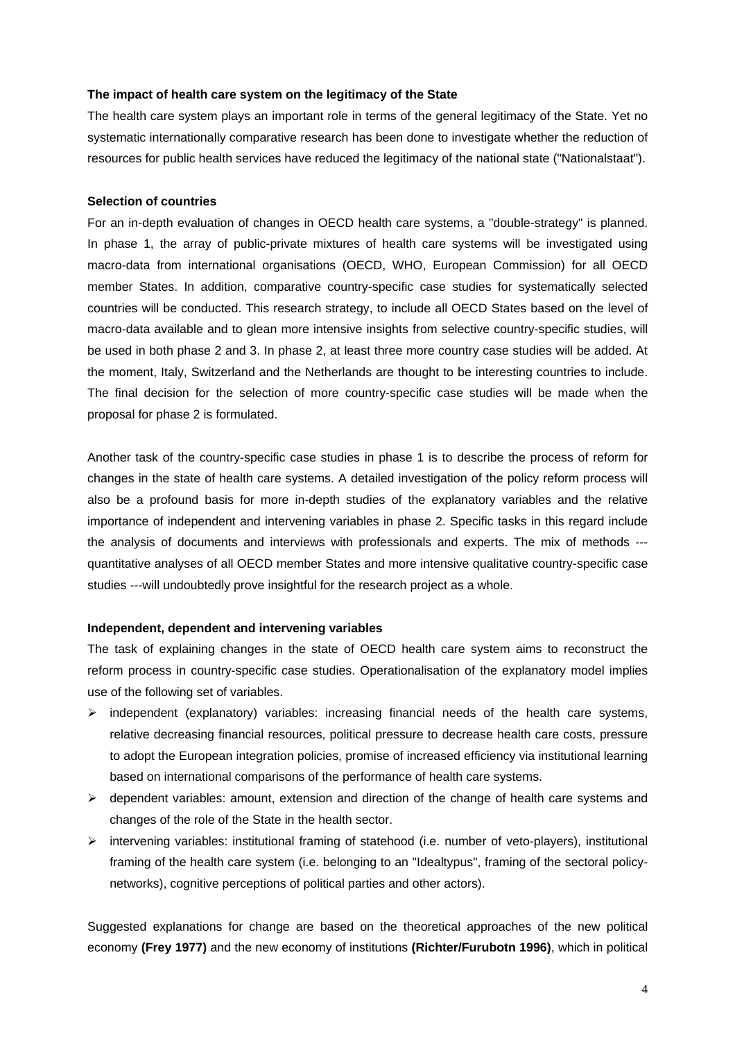### **The impact of health care system on the legitimacy of the State**

The health care system plays an important role in terms of the general legitimacy of the State. Yet no systematic internationally comparative research has been done to investigate whether the reduction of resources for public health services have reduced the legitimacy of the national state ("Nationalstaat").

## **Selection of countries**

For an in-depth evaluation of changes in OECD health care systems, a "double-strategy" is planned. In phase 1, the array of public-private mixtures of health care systems will be investigated using macro-data from international organisations (OECD, WHO, European Commission) for all OECD member States. In addition, comparative country-specific case studies for systematically selected countries will be conducted. This research strategy, to include all OECD States based on the level of macro-data available and to glean more intensive insights from selective country-specific studies, will be used in both phase 2 and 3. In phase 2, at least three more country case studies will be added. At the moment, Italy, Switzerland and the Netherlands are thought to be interesting countries to include. The final decision for the selection of more country-specific case studies will be made when the proposal for phase 2 is formulated.

Another task of the country-specific case studies in phase 1 is to describe the process of reform for changes in the state of health care systems. A detailed investigation of the policy reform process will also be a profound basis for more in-depth studies of the explanatory variables and the relative importance of independent and intervening variables in phase 2. Specific tasks in this regard include the analysis of documents and interviews with professionals and experts. The mix of methods -- quantitative analyses of all OECD member States and more intensive qualitative country-specific case studies ---will undoubtedly prove insightful for the research project as a whole.

#### **Independent, dependent and intervening variables**

The task of explaining changes in the state of OECD health care system aims to reconstruct the reform process in country-specific case studies. Operationalisation of the explanatory model implies use of the following set of variables.

- $\triangleright$  independent (explanatory) variables: increasing financial needs of the health care systems, relative decreasing financial resources, political pressure to decrease health care costs, pressure to adopt the European integration policies, promise of increased efficiency via institutional learning based on international comparisons of the performance of health care systems.
- $\triangleright$  dependent variables: amount, extension and direction of the change of health care systems and changes of the role of the State in the health sector.
- $\triangleright$  intervening variables: institutional framing of statehood (i.e. number of veto-players), institutional framing of the health care system (i.e. belonging to an "Idealtypus", framing of the sectoral policynetworks), cognitive perceptions of political parties and other actors).

Suggested explanations for change are based on the theoretical approaches of the new political economy **(Frey 1977)** and the new economy of institutions **(Richter/Furubotn 1996)**, which in political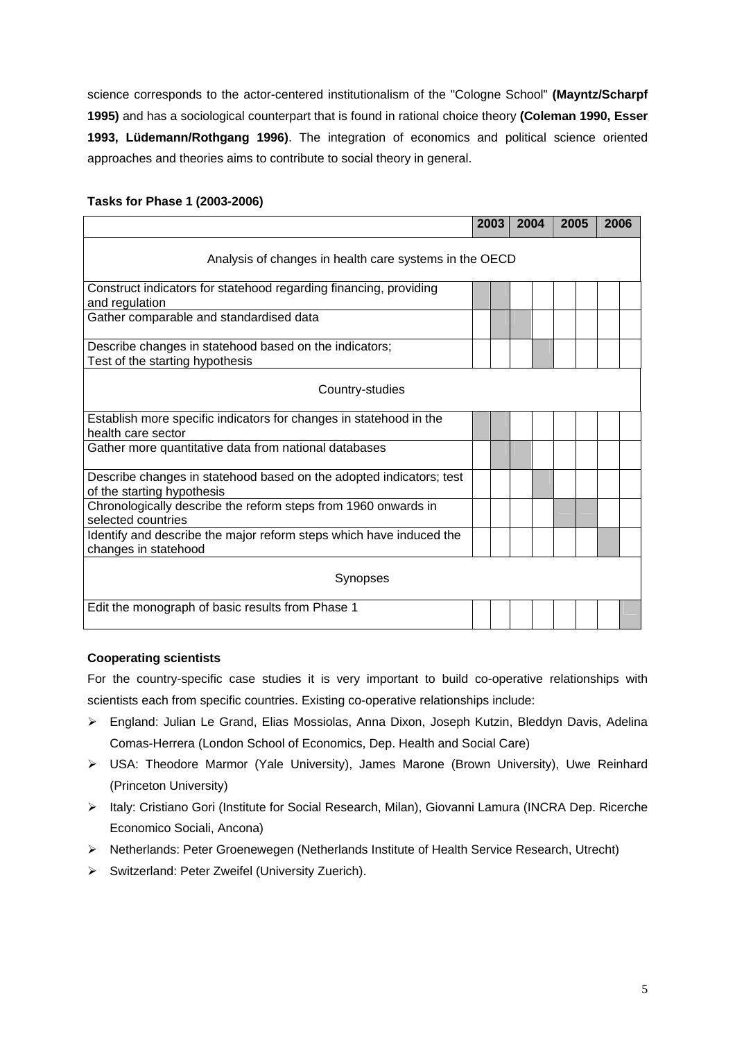science corresponds to the actor-centered institutionalism of the "Cologne School" **(Mayntz/Scharpf 1995)** and has a sociological counterpart that is found in rational choice theory **(Coleman 1990, Esser 1993, Lüdemann/Rothgang 1996)**. The integration of economics and political science oriented approaches and theories aims to contribute to social theory in general.

|                                                                                                   | 2003 | 2004 | 2005 | 2006 |  |  |  |  |
|---------------------------------------------------------------------------------------------------|------|------|------|------|--|--|--|--|
| Analysis of changes in health care systems in the OECD                                            |      |      |      |      |  |  |  |  |
| Construct indicators for statehood regarding financing, providing<br>and regulation               |      |      |      |      |  |  |  |  |
| Gather comparable and standardised data                                                           |      |      |      |      |  |  |  |  |
| Describe changes in statehood based on the indicators;<br>Test of the starting hypothesis         |      |      |      |      |  |  |  |  |
| Country-studies                                                                                   |      |      |      |      |  |  |  |  |
| Establish more specific indicators for changes in statehood in the<br>health care sector          |      |      |      |      |  |  |  |  |
| Gather more quantitative data from national databases                                             |      |      |      |      |  |  |  |  |
| Describe changes in statehood based on the adopted indicators; test<br>of the starting hypothesis |      |      |      |      |  |  |  |  |
| Chronologically describe the reform steps from 1960 onwards in<br>selected countries              |      |      |      |      |  |  |  |  |
| Identify and describe the major reform steps which have induced the<br>changes in statehood       |      |      |      |      |  |  |  |  |
| Synopses                                                                                          |      |      |      |      |  |  |  |  |
| Edit the monograph of basic results from Phase 1                                                  |      |      |      |      |  |  |  |  |

# **Tasks for Phase 1 (2003-2006)**

# **Cooperating scientists**

For the country-specific case studies it is very important to build co-operative relationships with scientists each from specific countries. Existing co-operative relationships include:

- ! England: Julian Le Grand, Elias Mossiolas, Anna Dixon, Joseph Kutzin, Bleddyn Davis, Adelina Comas-Herrera (London School of Economics, Dep. Health and Social Care)
- ! USA: Theodore Marmor (Yale University), James Marone (Brown University), Uwe Reinhard (Princeton University)
- > Italy: Cristiano Gori (Institute for Social Research, Milan), Giovanni Lamura (INCRA Dep. Ricerche Economico Sociali, Ancona)
- ! Netherlands: Peter Groenewegen (Netherlands Institute of Health Service Research, Utrecht)
- ! Switzerland: Peter Zweifel (University Zuerich).